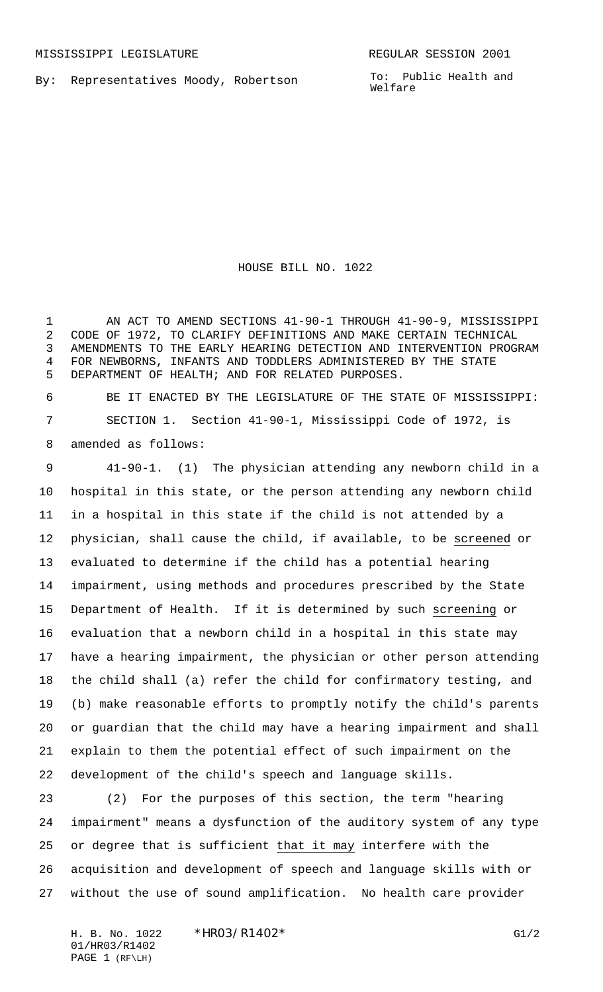By: Representatives Moody, Robertson

To: Public Health and Welfare

HOUSE BILL NO. 1022

1 AN ACT TO AMEND SECTIONS 41-90-1 THROUGH 41-90-9, MISSISSIPPI CODE OF 1972, TO CLARIFY DEFINITIONS AND MAKE CERTAIN TECHNICAL AMENDMENTS TO THE EARLY HEARING DETECTION AND INTERVENTION PROGRAM FOR NEWBORNS, INFANTS AND TODDLERS ADMINISTERED BY THE STATE DEPARTMENT OF HEALTH; AND FOR RELATED PURPOSES.

 BE IT ENACTED BY THE LEGISLATURE OF THE STATE OF MISSISSIPPI: SECTION 1. Section 41-90-1, Mississippi Code of 1972, is amended as follows:

 41-90-1. (1) The physician attending any newborn child in a hospital in this state, or the person attending any newborn child in a hospital in this state if the child is not attended by a physician, shall cause the child, if available, to be screened or evaluated to determine if the child has a potential hearing impairment, using methods and procedures prescribed by the State Department of Health. If it is determined by such screening or evaluation that a newborn child in a hospital in this state may have a hearing impairment, the physician or other person attending the child shall (a) refer the child for confirmatory testing, and (b) make reasonable efforts to promptly notify the child's parents or guardian that the child may have a hearing impairment and shall explain to them the potential effect of such impairment on the development of the child's speech and language skills.

 (2) For the purposes of this section, the term "hearing impairment" means a dysfunction of the auditory system of any type or degree that is sufficient that it may interfere with the acquisition and development of speech and language skills with or without the use of sound amplification. No health care provider

01/HR03/R1402 PAGE 1 (RF\LH)

H. B. No. 1022 \* HRO3/R1402\* G1/2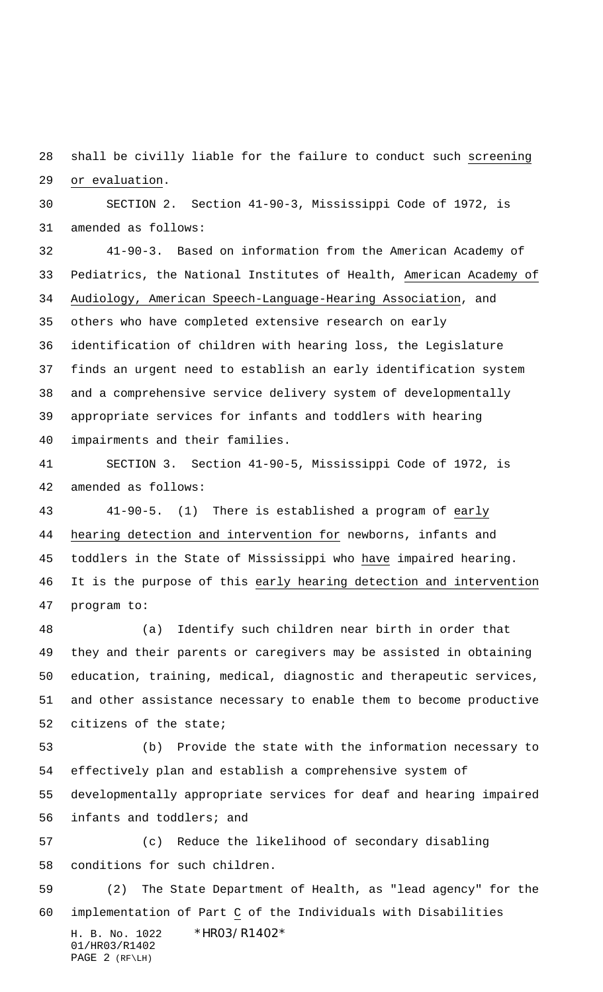28 shall be civilly liable for the failure to conduct such screening or evaluation.

 SECTION 2. Section 41-90-3, Mississippi Code of 1972, is amended as follows:

 41-90-3. Based on information from the American Academy of Pediatrics, the National Institutes of Health, American Academy of Audiology, American Speech-Language-Hearing Association, and others who have completed extensive research on early identification of children with hearing loss, the Legislature finds an urgent need to establish an early identification system and a comprehensive service delivery system of developmentally appropriate services for infants and toddlers with hearing impairments and their families.

 SECTION 3. Section 41-90-5, Mississippi Code of 1972, is amended as follows:

 41-90-5. (1) There is established a program of early hearing detection and intervention for newborns, infants and toddlers in the State of Mississippi who have impaired hearing. It is the purpose of this early hearing detection and intervention program to:

 (a) Identify such children near birth in order that they and their parents or caregivers may be assisted in obtaining education, training, medical, diagnostic and therapeutic services, and other assistance necessary to enable them to become productive citizens of the state;

 (b) Provide the state with the information necessary to effectively plan and establish a comprehensive system of developmentally appropriate services for deaf and hearing impaired infants and toddlers; and

 (c) Reduce the likelihood of secondary disabling conditions for such children.

H. B. No. 1022 \*HR03/R1402\* 01/HR03/R1402 PAGE 2 (RF\LH) (2) The State Department of Health, as "lead agency" for the implementation of Part C of the Individuals with Disabilities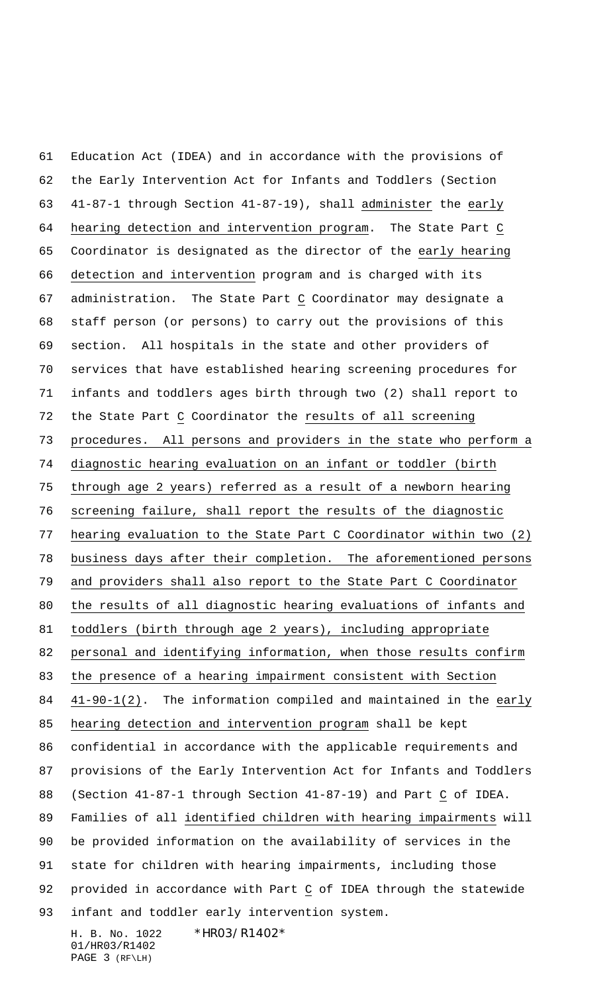H. B. No. 1022 \*HR03/R1402\* Education Act (IDEA) and in accordance with the provisions of the Early Intervention Act for Infants and Toddlers (Section 41-87-1 through Section 41-87-19), shall administer the early 64 hearing detection and intervention program. The State Part C Coordinator is designated as the director of the early hearing detection and intervention program and is charged with its administration. The State Part C Coordinator may designate a staff person (or persons) to carry out the provisions of this section. All hospitals in the state and other providers of services that have established hearing screening procedures for infants and toddlers ages birth through two (2) shall report to the State Part C Coordinator the results of all screening procedures. All persons and providers in the state who perform a diagnostic hearing evaluation on an infant or toddler (birth through age 2 years) referred as a result of a newborn hearing screening failure, shall report the results of the diagnostic hearing evaluation to the State Part C Coordinator within two (2) business days after their completion. The aforementioned persons and providers shall also report to the State Part C Coordinator the results of all diagnostic hearing evaluations of infants and 81 toddlers (birth through age 2 years), including appropriate personal and identifying information, when those results confirm the presence of a hearing impairment consistent with Section 41-90-1(2). The information compiled and maintained in the early hearing detection and intervention program shall be kept confidential in accordance with the applicable requirements and provisions of the Early Intervention Act for Infants and Toddlers (Section 41-87-1 through Section 41-87-19) and Part C of IDEA. Families of all identified children with hearing impairments will be provided information on the availability of services in the state for children with hearing impairments, including those provided in accordance with Part C of IDEA through the statewide infant and toddler early intervention system.

01/HR03/R1402 PAGE 3 (RF\LH)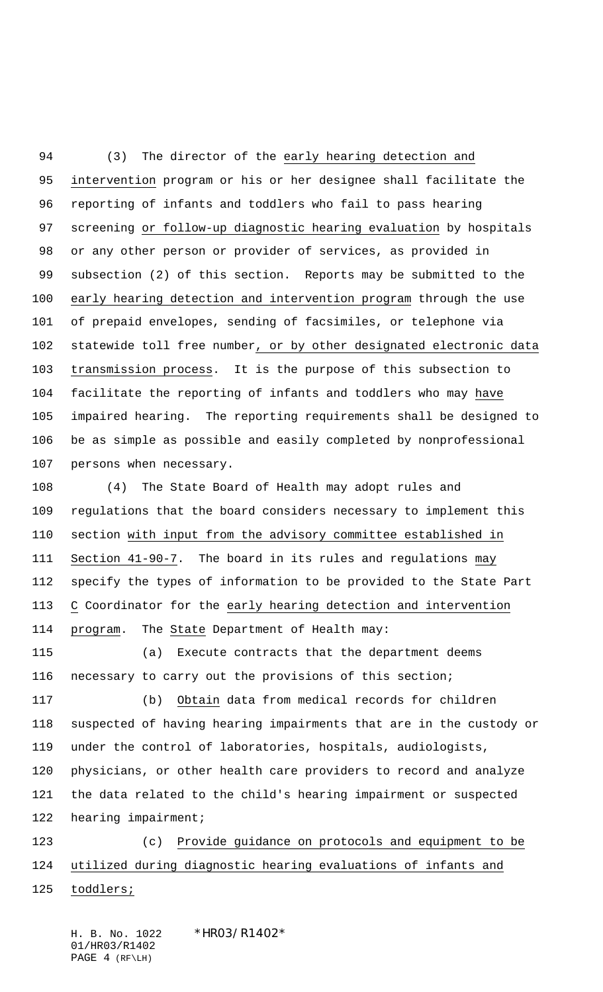(3) The director of the early hearing detection and intervention program or his or her designee shall facilitate the reporting of infants and toddlers who fail to pass hearing 97 screening or follow-up diagnostic hearing evaluation by hospitals or any other person or provider of services, as provided in subsection (2) of this section. Reports may be submitted to the early hearing detection and intervention program through the use of prepaid envelopes, sending of facsimiles, or telephone via statewide toll free number, or by other designated electronic data transmission process. It is the purpose of this subsection to facilitate the reporting of infants and toddlers who may have impaired hearing. The reporting requirements shall be designed to be as simple as possible and easily completed by nonprofessional persons when necessary.

 (4) The State Board of Health may adopt rules and regulations that the board considers necessary to implement this section with input from the advisory committee established in Section 41-90-7. The board in its rules and regulations may specify the types of information to be provided to the State Part C Coordinator for the early hearing detection and intervention program. The State Department of Health may:

 (a) Execute contracts that the department deems necessary to carry out the provisions of this section;

 (b) Obtain data from medical records for children suspected of having hearing impairments that are in the custody or under the control of laboratories, hospitals, audiologists, physicians, or other health care providers to record and analyze the data related to the child's hearing impairment or suspected hearing impairment;

 (c) Provide guidance on protocols and equipment to be utilized during diagnostic hearing evaluations of infants and 125 toddlers;

H. B. No. 1022 \*HR03/R1402\* 01/HR03/R1402 PAGE 4 (RF\LH)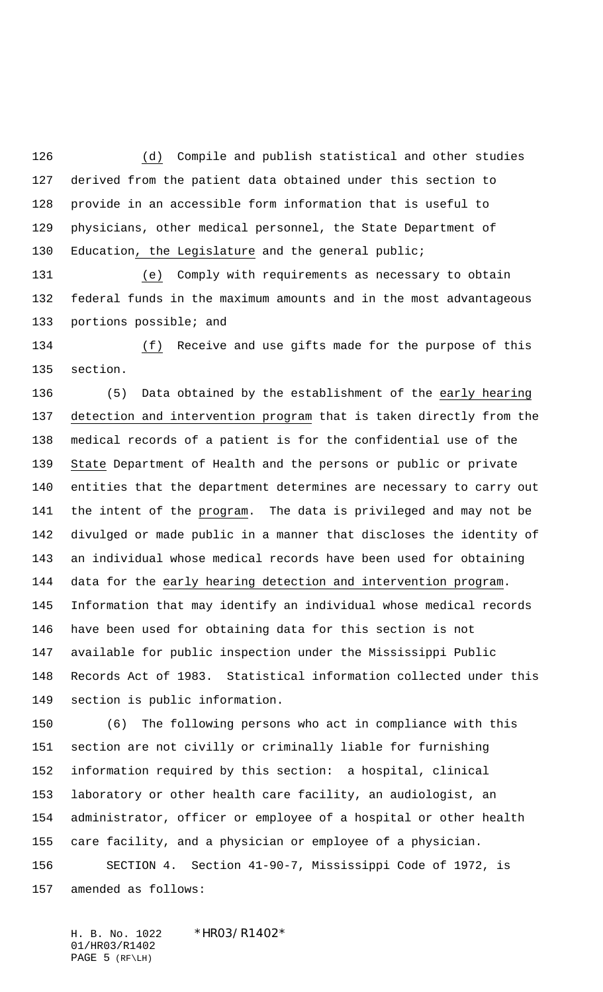(d) Compile and publish statistical and other studies derived from the patient data obtained under this section to provide in an accessible form information that is useful to physicians, other medical personnel, the State Department of Education, the Legislature and the general public;

 (e) Comply with requirements as necessary to obtain federal funds in the maximum amounts and in the most advantageous 133 portions possible; and

 (f) Receive and use gifts made for the purpose of this section.

 (5) Data obtained by the establishment of the early hearing detection and intervention program that is taken directly from the medical records of a patient is for the confidential use of the State Department of Health and the persons or public or private entities that the department determines are necessary to carry out the intent of the program. The data is privileged and may not be divulged or made public in a manner that discloses the identity of an individual whose medical records have been used for obtaining data for the early hearing detection and intervention program. Information that may identify an individual whose medical records have been used for obtaining data for this section is not available for public inspection under the Mississippi Public Records Act of 1983. Statistical information collected under this section is public information.

 (6) The following persons who act in compliance with this section are not civilly or criminally liable for furnishing information required by this section: a hospital, clinical laboratory or other health care facility, an audiologist, an administrator, officer or employee of a hospital or other health care facility, and a physician or employee of a physician. SECTION 4. Section 41-90-7, Mississippi Code of 1972, is amended as follows:

H. B. No. 1022 \*HR03/R1402\* 01/HR03/R1402 PAGE 5 (RF\LH)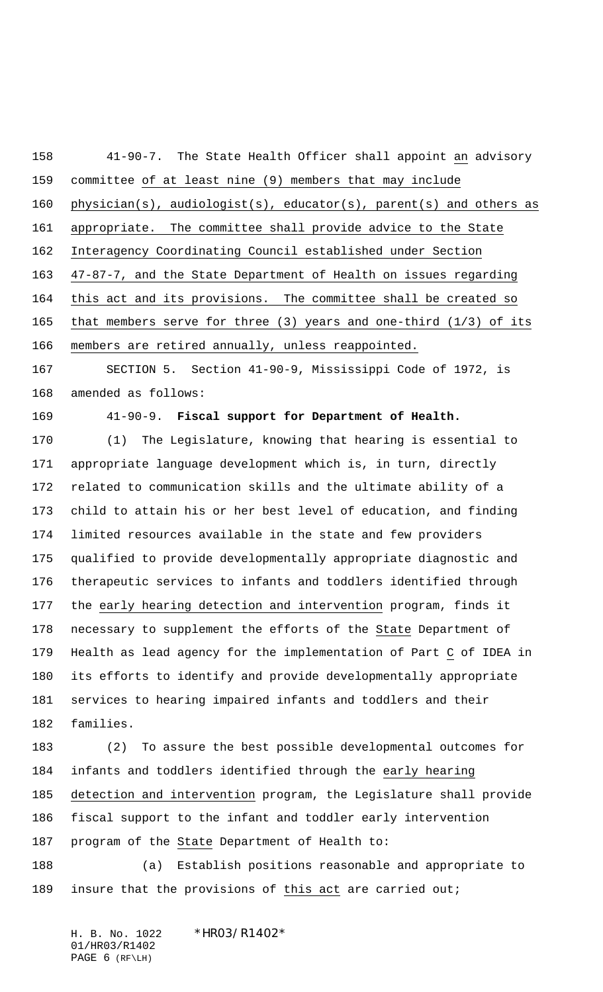41-90-7. The State Health Officer shall appoint an advisory committee of at least nine (9) members that may include physician(s), audiologist(s), educator(s), parent(s) and others as appropriate. The committee shall provide advice to the State Interagency Coordinating Council established under Section 47-87-7, and the State Department of Health on issues regarding this act and its provisions. The committee shall be created so that members serve for three (3) years and one-third (1/3) of its members are retired annually, unless reappointed. SECTION 5. Section 41-90-9, Mississippi Code of 1972, is amended as follows:

41-90-9. **Fiscal support for Department of Health.**

 (1) The Legislature, knowing that hearing is essential to appropriate language development which is, in turn, directly related to communication skills and the ultimate ability of a child to attain his or her best level of education, and finding limited resources available in the state and few providers qualified to provide developmentally appropriate diagnostic and therapeutic services to infants and toddlers identified through the early hearing detection and intervention program, finds it necessary to supplement the efforts of the State Department of Health as lead agency for the implementation of Part C of IDEA in its efforts to identify and provide developmentally appropriate services to hearing impaired infants and toddlers and their families.

 (2) To assure the best possible developmental outcomes for 184 infants and toddlers identified through the early hearing detection and intervention program, the Legislature shall provide fiscal support to the infant and toddler early intervention program of the State Department of Health to: (a) Establish positions reasonable and appropriate to

189 insure that the provisions of this act are carried out;

H. B. No. 1022 \*HR03/R1402\* 01/HR03/R1402 PAGE 6 (RF\LH)